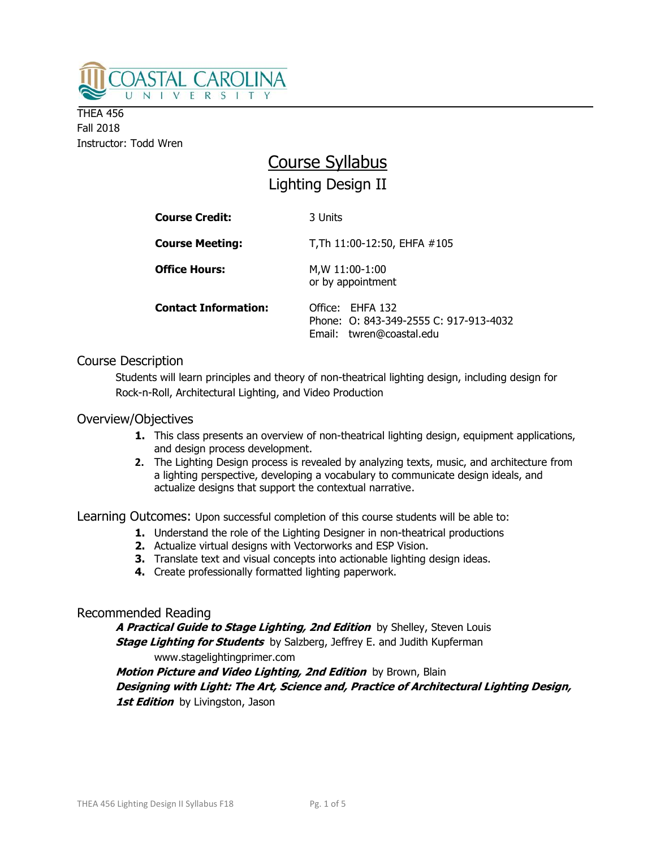

**THEA 456** Fall 2018 Instructor: Todd Wren

# Course Syllabus Lighting Design II

| <b>Course Credit:</b>       | 3 Units                                                                                |  |
|-----------------------------|----------------------------------------------------------------------------------------|--|
| <b>Course Meeting:</b>      | T, Th 11:00-12:50, EHFA #105                                                           |  |
| <b>Office Hours:</b>        | M, W 11:00-1:00<br>or by appointment                                                   |  |
| <b>Contact Information:</b> | Office: EHFA 132<br>Phone: 0: 843-349-2555 C: 917-913-4032<br>Email: twren@coastal.edu |  |

# Course Description

Students will learn principles and theory of non-theatrical lighting design, including design for Rock-n-Roll, Architectural Lighting, and Video Production

# Overview/Objectives

- **1.** This class presents an overview of non-theatrical lighting design, equipment applications, and design process development.
- **2.** The Lighting Design process is revealed by analyzing texts, music, and architecture from a lighting perspective, developing a vocabulary to communicate design ideals, and actualize designs that support the contextual narrative.

Learning Outcomes: Upon successful completion of this course students will be able to:

- **1.** Understand the role of the Lighting Designer in non-theatrical productions
- **2.** Actualize virtual designs with Vectorworks and ESP Vision.
- **3.** Translate text and visual concepts into actionable lighting design ideas.
- **4.** Create professionally formatted lighting paperwork.

# Recommended Reading

**A Practical Guide to Stage Lighting, 2nd Edition** by Shelley, Steven Louis **Stage Lighting for Students** by Salzberg, Jeffrey E. and Judith Kupferman www.stagelightingprimer.com

**Motion Picture and Video Lighting, 2nd Edition** by Brown, Blain **Designing with Light: The Art, Science and, Practice of Architectural Lighting Design, 1st Edition** by Livingston, Jason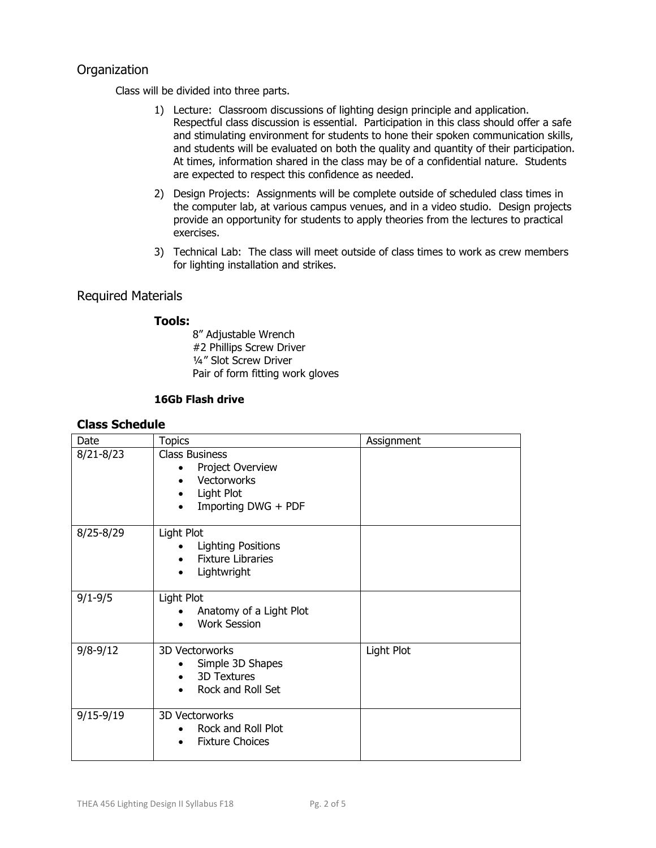# **Organization**

Class will be divided into three parts.

- 1) Lecture: Classroom discussions of lighting design principle and application. Respectful class discussion is essential. Participation in this class should offer a safe and stimulating environment for students to hone their spoken communication skills, and students will be evaluated on both the quality and quantity of their participation. At times, information shared in the class may be of a confidential nature. Students are expected to respect this confidence as needed.
- 2) Design Projects: Assignments will be complete outside of scheduled class times in the computer lab, at various campus venues, and in a video studio. Design projects provide an opportunity for students to apply theories from the lectures to practical exercises.
- 3) Technical Lab: The class will meet outside of class times to work as crew members for lighting installation and strikes.

# Required Materials

#### **Tools:**

8" Adjustable Wrench #2 Phillips Screw Driver ¼" Slot Screw Driver Pair of form fitting work gloves

#### **16Gb Flash drive**

#### **Class Schedule**

| Date          | <b>Topics</b>                                                                                   | Assignment |
|---------------|-------------------------------------------------------------------------------------------------|------------|
| $8/21 - 8/23$ | <b>Class Business</b><br>Project Overview<br>Vectorworks<br>Light Plot<br>Importing DWG + PDF   |            |
| $8/25 - 8/29$ | Light Plot<br><b>Lighting Positions</b><br><b>Fixture Libraries</b><br>Lightwright<br>$\bullet$ |            |
| $9/1 - 9/5$   | Light Plot<br>Anatomy of a Light Plot<br><b>Work Session</b>                                    |            |
| $9/8 - 9/12$  | 3D Vectorworks<br>Simple 3D Shapes<br><b>3D Textures</b><br>Rock and Roll Set                   | Light Plot |
| $9/15 - 9/19$ | 3D Vectorworks<br>Rock and Roll Plot<br><b>Fixture Choices</b>                                  |            |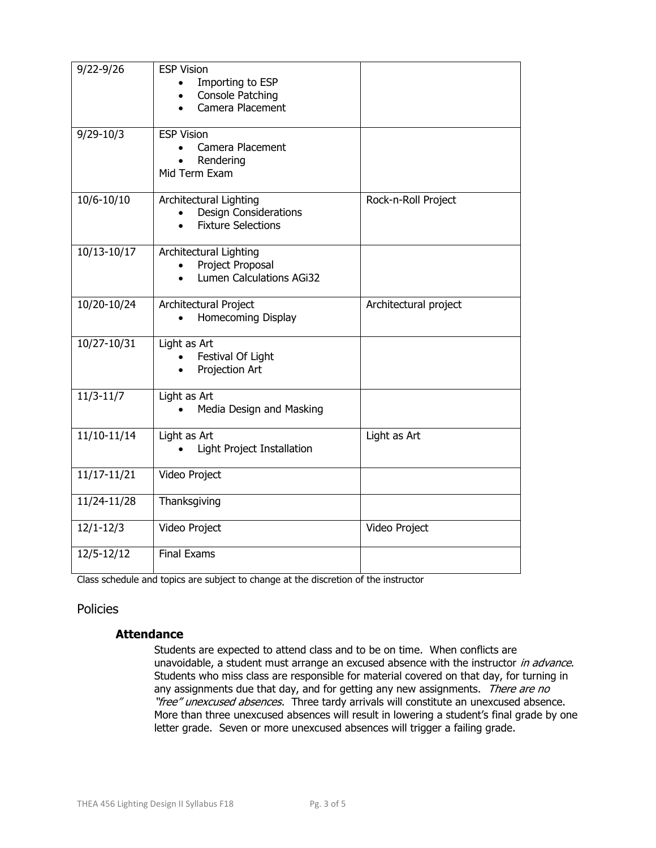| $9/22 - 9/26$  | <b>ESP Vision</b><br>Importing to ESP<br>$\bullet$<br><b>Console Patching</b><br>$\bullet$<br>Camera Placement<br>$\bullet$ |                       |
|----------------|-----------------------------------------------------------------------------------------------------------------------------|-----------------------|
| $9/29 - 10/3$  | <b>ESP Vision</b><br>Camera Placement<br>Rendering<br>Mid Term Exam                                                         |                       |
| $10/6 - 10/10$ | Architectural Lighting<br><b>Design Considerations</b><br><b>Fixture Selections</b>                                         | Rock-n-Roll Project   |
| 10/13-10/17    | Architectural Lighting<br>Project Proposal<br>$\bullet$<br><b>Lumen Calculations AGi32</b>                                  |                       |
| 10/20-10/24    | Architectural Project<br>Homecoming Display                                                                                 | Architectural project |
| 10/27-10/31    | Light as Art<br>Festival Of Light<br>Projection Art<br>$\bullet$                                                            |                       |
| $11/3 - 11/7$  | Light as Art<br>Media Design and Masking                                                                                    |                       |
| $11/10-11/14$  | Light as Art<br>Light Project Installation                                                                                  | Light as Art          |
| 11/17-11/21    | Video Project                                                                                                               |                       |
| 11/24-11/28    | Thanksgiving                                                                                                                |                       |
| $12/1 - 12/3$  | Video Project                                                                                                               | Video Project         |
| $12/5 - 12/12$ | <b>Final Exams</b>                                                                                                          |                       |

Class schedule and topics are subject to change at the discretion of the instructor

# Policies

# **Attendance**

Students are expected to attend class and to be on time. When conflicts are unavoidable, a student must arrange an excused absence with the instructor in advance. Students who miss class are responsible for material covered on that day, for turning in any assignments due that day, and for getting any new assignments. There are no "free" unexcused absences. Three tardy arrivals will constitute an unexcused absence. More than three unexcused absences will result in lowering a student's final grade by one letter grade. Seven or more unexcused absences will trigger a failing grade.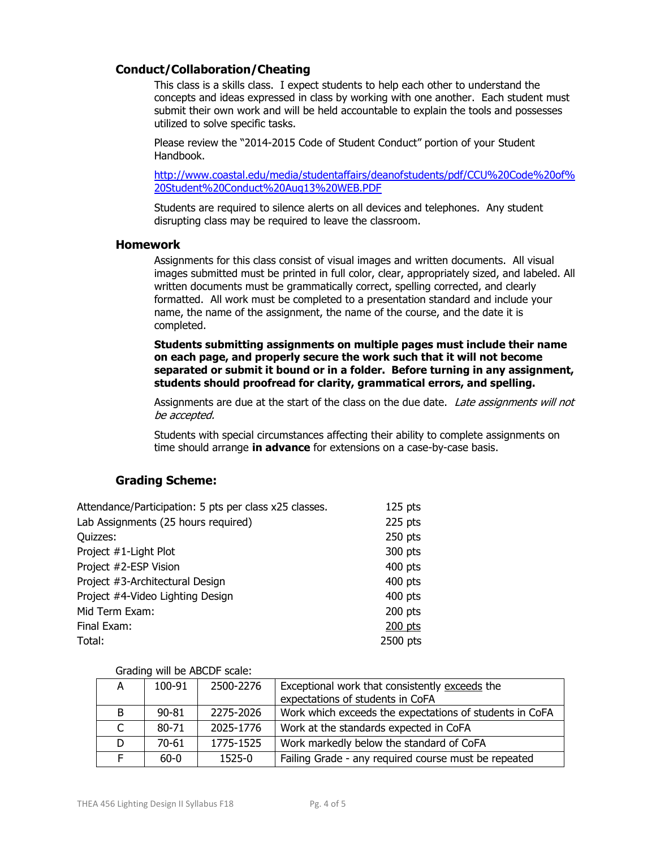#### **Conduct/Collaboration/Cheating**

This class is a skills class. I expect students to help each other to understand the concepts and ideas expressed in class by working with one another. Each student must submit their own work and will be held accountable to explain the tools and possesses utilized to solve specific tasks.

Please review the "2014-2015 Code of Student Conduct" portion of your Student Handbook.

[http://www.coastal.edu/media/studentaffairs/deanofstudents/pdf/CCU%20Code%20of%](http://www.coastal.edu/media/studentaffairs/deanofstudents/pdf/CCU%20Code%20of%20Student%20Conduct%20Aug13%20WEB.PDF) [20Student%20Conduct%20Aug13%20WEB.PDF](http://www.coastal.edu/media/studentaffairs/deanofstudents/pdf/CCU%20Code%20of%20Student%20Conduct%20Aug13%20WEB.PDF)

Students are required to silence alerts on all devices and telephones. Any student disrupting class may be required to leave the classroom.

#### **Homework**

Assignments for this class consist of visual images and written documents. All visual images submitted must be printed in full color, clear, appropriately sized, and labeled. All written documents must be grammatically correct, spelling corrected, and clearly formatted. All work must be completed to a presentation standard and include your name, the name of the assignment, the name of the course, and the date it is completed.

**Students submitting assignments on multiple pages must include their name on each page, and properly secure the work such that it will not become separated or submit it bound or in a folder. Before turning in any assignment, students should proofread for clarity, grammatical errors, and spelling.** 

Assignments are due at the start of the class on the due date. Late assignments will not be accepted.

Students with special circumstances affecting their ability to complete assignments on time should arrange **in advance** for extensions on a case-by-case basis.

#### **Grading Scheme:**

| $125$ pts |
|-----------|
| 225 pts   |
| 250 pts   |
| 300 pts   |
| 400 pts   |
| 400 pts   |
| $400$ pts |
| 200 pts   |
| 200 pts   |
| 2500 pts  |
|           |

Grading will be ABCDF scale:

| A  | 100-91    | 2500-2276 | Exceptional work that consistently exceeds the          |
|----|-----------|-----------|---------------------------------------------------------|
|    |           |           | expectations of students in CoFA                        |
| B. | $90 - 81$ | 2275-2026 | Work which exceeds the expectations of students in CoFA |
|    | $80 - 71$ | 2025-1776 | Work at the standards expected in CoFA                  |
|    | $70-61$   | 1775-1525 | Work markedly below the standard of CoFA                |
|    | 60-0      | 1525-0    | Failing Grade - any required course must be repeated    |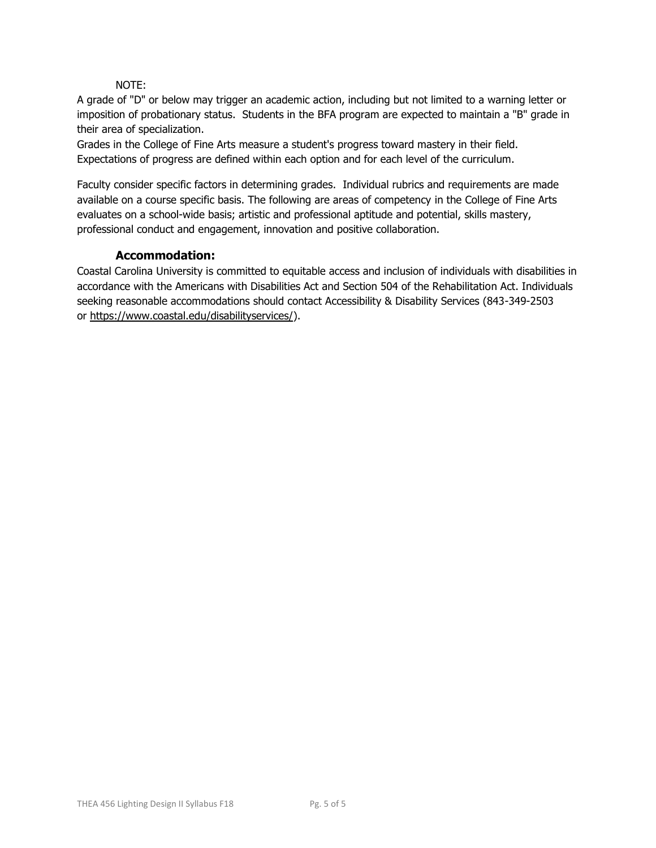#### NOTE:

A grade of "D" or below may trigger an academic action, including but not limited to a warning letter or imposition of probationary status. Students in the BFA program are expected to maintain a "B" grade in their area of specialization.

Grades in the College of Fine Arts measure a student's progress toward mastery in their field. Expectations of progress are defined within each option and for each level of the curriculum.

Faculty consider specific factors in determining grades. Individual rubrics and requirements are made available on a course specific basis. The following are areas of competency in the College of Fine Arts evaluates on a school-wide basis; artistic and professional aptitude and potential, skills mastery, professional conduct and engagement, innovation and positive collaboration.

#### **Accommodation:**

Coastal Carolina University is committed to equitable access and inclusion of individuals with disabilities in accordance with the Americans with Disabilities Act and Section 504 of the Rehabilitation Act. Individuals seeking reasonable accommodations should contact Accessibility & Disability Services (843-349-2503 or [https://www.coastal.edu/disabilityservices/\)](https://www.coastal.edu/disabilityservices/).